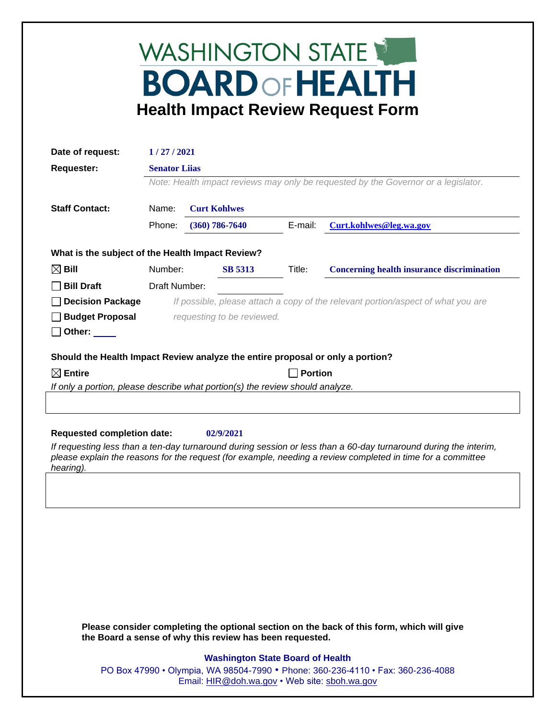# WASHINGTON STATE **BOARD OF HEALTH Health Impact Review Request Form**

| Date of request:                                                               | 1/27/2021                                                                                                  |                            |         |                                                   |
|--------------------------------------------------------------------------------|------------------------------------------------------------------------------------------------------------|----------------------------|---------|---------------------------------------------------|
| <b>Requester:</b>                                                              | <b>Senator Liias</b><br>Note: Health impact reviews may only be requested by the Governor or a legislator. |                            |         |                                                   |
|                                                                                |                                                                                                            |                            |         |                                                   |
| <b>Staff Contact:</b>                                                          | Name:                                                                                                      | <b>Curt Kohlwes</b>        |         |                                                   |
|                                                                                | Phone:                                                                                                     | $(360) 786 - 7640$         | E-mail: | Curt.kohlwes@leg.wa.gov                           |
| What is the subject of the Health Impact Review?                               |                                                                                                            |                            |         |                                                   |
| $\boxtimes$ Bill                                                               | Number:                                                                                                    | <b>SB 5313</b>             | Title:  | <b>Concerning health insurance discrimination</b> |
| <b>Bill Draft</b>                                                              | Draft Number:                                                                                              |                            |         |                                                   |
| <b>Decision Package</b>                                                        | If possible, please attach a copy of the relevant portion/aspect of what you are                           |                            |         |                                                   |
| <b>Budget Proposal</b>                                                         |                                                                                                            | requesting to be reviewed. |         |                                                   |
| Other:                                                                         |                                                                                                            |                            |         |                                                   |
| Should the Health Impact Review analyze the entire proposal or only a portion? |                                                                                                            |                            |         |                                                   |
| $\boxtimes$ Entire                                                             | <b>Portion</b>                                                                                             |                            |         |                                                   |
| If only a portion, please describe what portion(s) the review should analyze.  |                                                                                                            |                            |         |                                                   |
|                                                                                |                                                                                                            |                            |         |                                                   |

## **Requested completion date: 02/9/2021**

*If requesting less than a ten-day turnaround during session or less than a 60-day turnaround during the interim, please explain the reasons for the request (for example, needing a review completed in time for a committee hearing).*

**Please consider completing the optional section on the back of this form, which will give the Board a sense of why this review has been requested.**

## **Washington State Board of Health**

PO Box 47990 • Olympia, WA 98504-7990 • Phone: 360-236-4110 • Fax: 360-236-4088 Email: [HIR@doh.wa.gov](mailto:HIR@doh.wa.gov) • Web site: [sboh.wa.gov](http://www.sboh.wa.gov/hdcouncil/)